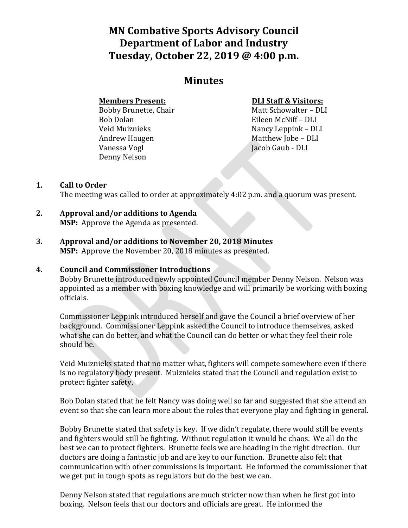# **MN Combative Sports Advisory Council Department of Labor and Industry Tuesday, October 22, 2019 @ 4:00 p.m.**

## **Minutes**

#### **Members Present:**

Bobby Brunette, Chair Bob Dolan Veid Muiznieks Andrew Haugen Vanessa Vogl Denny Nelson

#### **DLI Staff & Visitors:**

Matt Schowalter – DLI Eileen McNiff – DLI Nancy Leppink – DLI Matthew Jobe – DLI Jacob Gaub - DLI

### **1. Call to Order**

The meeting was called to order at approximately 4:02 p.m. and a quorum was present.

- **2. Approval and/or additions to Agenda MSP:** Approve the Agenda as presented.
- **3. Approval and/or additions to November 20, 2018 Minutes MSP:** Approve the November 20, 2018 minutes as presented.

### **4. Council and Commissioner Introductions**

Bobby Brunette introduced newly appointed Council member Denny Nelson. Nelson was appointed as a member with boxing knowledge and will primarily be working with boxing officials.

Commissioner Leppink introduced herself and gave the Council a brief overview of her background. Commissioner Leppink asked the Council to introduce themselves, asked what she can do better, and what the Council can do better or what they feel their role should be.

Veid Muiznieks stated that no matter what, fighters will compete somewhere even if there is no regulatory body present. Muiznieks stated that the Council and regulation exist to protect fighter safety.

Bob Dolan stated that he felt Nancy was doing well so far and suggested that she attend an event so that she can learn more about the roles that everyone play and fighting in general.

Bobby Brunette stated that safety is key. If we didn't regulate, there would still be events and fighters would still be fighting. Without regulation it would be chaos. We all do the best we can to protect fighters. Brunette feels we are heading in the right direction. Our doctors are doing a fantastic job and are key to our function. Brunette also felt that communication with other commissions is important. He informed the commissioner that we get put in tough spots as regulators but do the best we can.

Denny Nelson stated that regulations are much stricter now than when he first got into boxing. Nelson feels that our doctors and officials are great. He informed the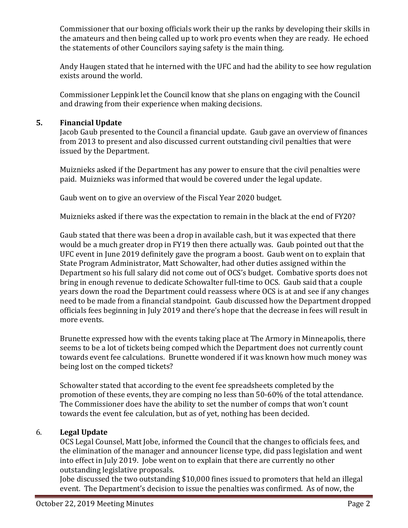Commissioner that our boxing officials work their up the ranks by developing their skills in the amateurs and then being called up to work pro events when they are ready. He echoed the statements of other Councilors saying safety is the main thing.

Andy Haugen stated that he interned with the UFC and had the ability to see how regulation exists around the world.

Commissioner Leppink let the Council know that she plans on engaging with the Council and drawing from their experience when making decisions.

#### **5. Financial Update**

Jacob Gaub presented to the Council a financial update. Gaub gave an overview of finances from 2013 to present and also discussed current outstanding civil penalties that were issued by the Department.

Muiznieks asked if the Department has any power to ensure that the civil penalties were paid. Muiznieks was informed that would be covered under the legal update.

Gaub went on to give an overview of the Fiscal Year 2020 budget.

Muiznieks asked if there was the expectation to remain in the black at the end of FY20?

Gaub stated that there was been a drop in available cash, but it was expected that there would be a much greater drop in FY19 then there actually was. Gaub pointed out that the UFC event in June 2019 definitely gave the program a boost. Gaub went on to explain that State Program Administrator, Matt Schowalter, had other duties assigned within the Department so his full salary did not come out of OCS's budget. Combative sports does not bring in enough revenue to dedicate Schowalter full-time to OCS. Gaub said that a couple years down the road the Department could reassess where OCS is at and see if any changes need to be made from a financial standpoint. Gaub discussed how the Department dropped officials fees beginning in July 2019 and there's hope that the decrease in fees will result in more events.

Brunette expressed how with the events taking place at The Armory in Minneapolis, there seems to be a lot of tickets being comped which the Department does not currently count towards event fee calculations. Brunette wondered if it was known how much money was being lost on the comped tickets?

Schowalter stated that according to the event fee spreadsheets completed by the promotion of these events, they are comping no less than 50-60% of the total attendance. The Commissioner does have the ability to set the number of comps that won't count towards the event fee calculation, but as of yet, nothing has been decided.

### 6. **Legal Update**

OCS Legal Counsel, Matt Jobe, informed the Council that the changes to officials fees, and the elimination of the manager and announcer license type, did pass legislation and went into effect in July 2019. Jobe went on to explain that there are currently no other outstanding legislative proposals.

Jobe discussed the two outstanding \$10,000 fines issued to promoters that held an illegal event. The Department's decision to issue the penalties was confirmed. As of now, the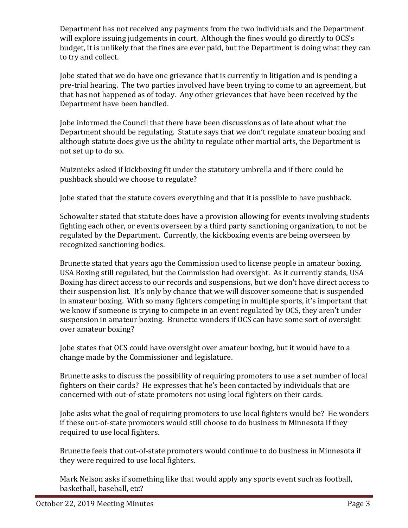Department has not received any payments from the two individuals and the Department will explore issuing judgements in court. Although the fines would go directly to OCS's budget, it is unlikely that the fines are ever paid, but the Department is doing what they can to try and collect.

Jobe stated that we do have one grievance that is currently in litigation and is pending a pre-trial hearing. The two parties involved have been trying to come to an agreement, but that has not happened as of today. Any other grievances that have been received by the Department have been handled.

Jobe informed the Council that there have been discussions as of late about what the Department should be regulating. Statute says that we don't regulate amateur boxing and although statute does give us the ability to regulate other martial arts, the Department is not set up to do so.

Muiznieks asked if kickboxing fit under the statutory umbrella and if there could be pushback should we choose to regulate?

Jobe stated that the statute covers everything and that it is possible to have pushback.

Schowalter stated that statute does have a provision allowing for events involving students fighting each other, or events overseen by a third party sanctioning organization, to not be regulated by the Department. Currently, the kickboxing events are being overseen by recognized sanctioning bodies.

Brunette stated that years ago the Commission used to license people in amateur boxing. USA Boxing still regulated, but the Commission had oversight. As it currently stands, USA Boxing has direct access to our records and suspensions, but we don't have direct access to their suspension list. It's only by chance that we will discover someone that is suspended in amateur boxing. With so many fighters competing in multiple sports, it's important that we know if someone is trying to compete in an event regulated by OCS, they aren't under suspension in amateur boxing. Brunette wonders if OCS can have some sort of oversight over amateur boxing?

Jobe states that OCS could have oversight over amateur boxing, but it would have to a change made by the Commissioner and legislature.

Brunette asks to discuss the possibility of requiring promoters to use a set number of local fighters on their cards? He expresses that he's been contacted by individuals that are concerned with out-of-state promoters not using local fighters on their cards.

Jobe asks what the goal of requiring promoters to use local fighters would be? He wonders if these out-of-state promoters would still choose to do business in Minnesota if they required to use local fighters.

Brunette feels that out-of-state promoters would continue to do business in Minnesota if they were required to use local fighters.

Mark Nelson asks if something like that would apply any sports event such as football, basketball, baseball, etc?